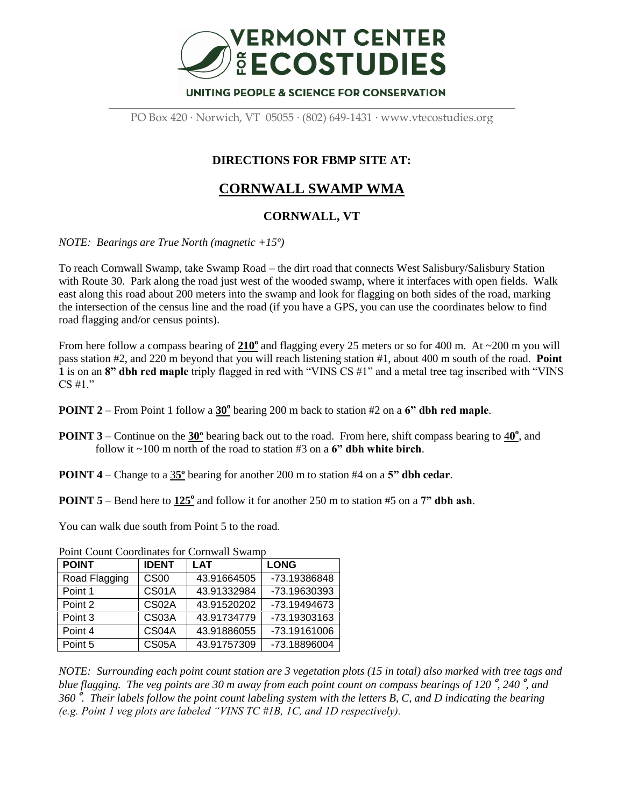

PO Box 420 · Norwich, VT 05055 · (802) 649-1431 · www.vtecostudies.org

## **DIRECTIONS FOR FBMP SITE AT:**

## **CORNWALL SWAMP WMA**

## **CORNWALL, VT**

*NOTE: Bearings are True North (magnetic +15º)*

To reach Cornwall Swamp, take Swamp Road – the dirt road that connects West Salisbury/Salisbury Station with Route 30. Park along the road just west of the wooded swamp, where it interfaces with open fields. Walk east along this road about 200 meters into the swamp and look for flagging on both sides of the road, marking the intersection of the census line and the road (if you have a GPS, you can use the coordinates below to find road flagging and/or census points).

From here follow a compass bearing of  $210^{\circ}$  and flagging every 25 meters or so for 400 m. At  $\sim$ 200 m you will pass station #2, and 220 m beyond that you will reach listening station #1, about 400 m south of the road. **Point 1** is on an **8" dbh red maple** triply flagged in red with "VINS CS #1" and a metal tree tag inscribed with "VINS CS #1."

- **POINT 2** From Point 1 follow a  $30^\circ$  bearing 200 m back to station #2 on a **6" dbh red maple**.
- **POINT 3** Continue on the  $30^\circ$  bearing back out to the road. From here, shift compass bearing to  $40^\circ$ , and follow it ~100 m north of the road to station #3 on a **6" dbh white birch**.
- **POINT 4** Change to a 3**5º** bearing for another 200 m to station #4 on a **5" dbh cedar**.

**POINT 5** – Bend here to  $125^\circ$  and follow it for another 250 m to station #5 on a 7" dbh ash.

You can walk due south from Point 5 to the road.

| <b>POINT</b>  | <b>IDENT</b> | <b>LAT</b>  | <b>LONG</b>  |
|---------------|--------------|-------------|--------------|
| Road Flagging | <b>CS00</b>  | 43.91664505 | -73.19386848 |
| Point 1       | CS01A        | 43.91332984 | -73.19630393 |
| Point 2       | CS02A        | 43.91520202 | -73.19494673 |
| Point 3       | CS03A        | 43.91734779 | -73.19303163 |
| Point 4       | CS04A        | 43.91886055 | -73.19161006 |
| Point 5       | CS05A        | 43.91757309 | -73.18896004 |

Point Count Coordinates for Cornwall Swamp

*NOTE: Surrounding each point count station are 3 vegetation plots (15 in total) also marked with tree tags and blue flagging. The veg points are 30 m away from each point count on compass bearings of 120*˚*, 240*˚*, and 360*˚*. Their labels follow the point count labeling system with the letters B, C, and D indicating the bearing (e.g. Point 1 veg plots are labeled "VINS TC #1B, 1C, and 1D respectively).*